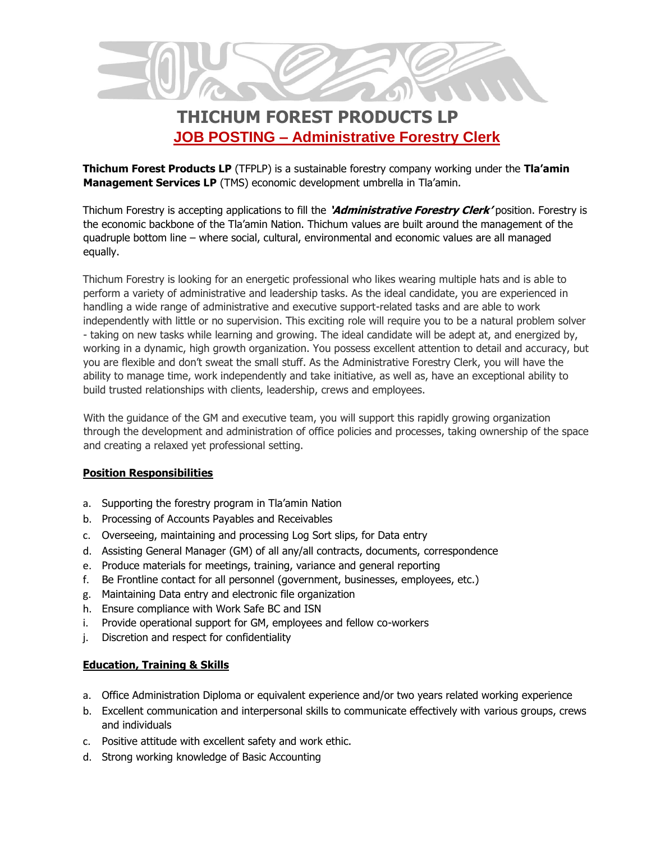

## **THICHUM FOREST PRODUCTS LP JOB POSTING – Administrative Forestry Clerk**

**Thichum Forest Products LP** (TFPLP) is a sustainable forestry company working under the **Tla'amin Management Services LP** (TMS) economic development umbrella in Tla'amin.

Thichum Forestry is accepting applications to fill the **'Administrative Forestry Clerk'** position. Forestry is the economic backbone of the Tla'amin Nation. Thichum values are built around the management of the quadruple bottom line – where social, cultural, environmental and economic values are all managed equally.

Thichum Forestry is looking for an energetic professional who likes wearing multiple hats and is able to perform a variety of administrative and leadership tasks. As the ideal candidate, you are experienced in handling a wide range of administrative and executive support-related tasks and are able to work independently with little or no supervision. This exciting role will require you to be a natural problem solver - taking on new tasks while learning and growing. The ideal candidate will be adept at, and energized by, working in a dynamic, high growth organization. You possess excellent attention to detail and accuracy, but you are flexible and don't sweat the small stuff. As the Administrative Forestry Clerk, you will have the ability to manage time, work independently and take initiative, as well as, have an exceptional ability to build trusted relationships with clients, leadership, crews and employees.

With the guidance of the GM and executive team, you will support this rapidly growing organization through the development and administration of office policies and processes, taking ownership of the space and creating a relaxed yet professional setting.

## **Position Responsibilities**

- a. Supporting the forestry program in Tla'amin Nation
- b. Processing of Accounts Payables and Receivables
- c. Overseeing, maintaining and processing Log Sort slips, for Data entry
- d. Assisting General Manager (GM) of all any/all contracts, documents, correspondence
- e. Produce materials for meetings, training, variance and general reporting
- f. Be Frontline contact for all personnel (government, businesses, employees, etc.)
- g. Maintaining Data entry and electronic file organization
- h. Ensure compliance with Work Safe BC and ISN
- i. Provide operational support for GM, employees and fellow co-workers
- j. Discretion and respect for confidentiality

## **Education, Training & Skills**

- a. Office Administration Diploma or equivalent experience and/or two years related working experience
- b. Excellent communication and interpersonal skills to communicate effectively with various groups, crews and individuals
- c. Positive attitude with excellent safety and work ethic.
- d. Strong working knowledge of Basic Accounting